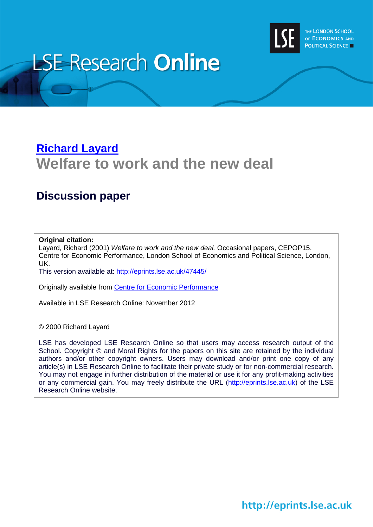

# **LSE Research Online**

### **[Richard Layard](http://www2.lse.ac.uk/researchAndExpertise/Experts/profile.aspx?KeyValue=r.layard@lse.ac.uk) Welfare to work and the new deal**

### **Discussion paper**

#### **Original citation:**

Layard, Richard (2001) *Welfare to work and the new deal.* Occasional papers, CEPOP15. Centre for Economic Performance, London School of Economics and Political Science, London, UK.

This version available at:<http://eprints.lse.ac.uk/47445/>

Originally available from [Centre for Economic Performance](http://cep.lse.ac.uk/)

Available in LSE Research Online: November 2012

© 2000 Richard Layard

LSE has developed LSE Research Online so that users may access research output of the School. Copyright © and Moral Rights for the papers on this site are retained by the individual authors and/or other copyright owners. Users may download and/or print one copy of any article(s) in LSE Research Online to facilitate their private study or for non-commercial research. You may not engage in further distribution of the material or use it for any profit-making activities or any commercial gain. You may freely distribute the URL (http://eprints.lse.ac.uk) of the LSE Research Online website.

http://eprints.lse.ac.uk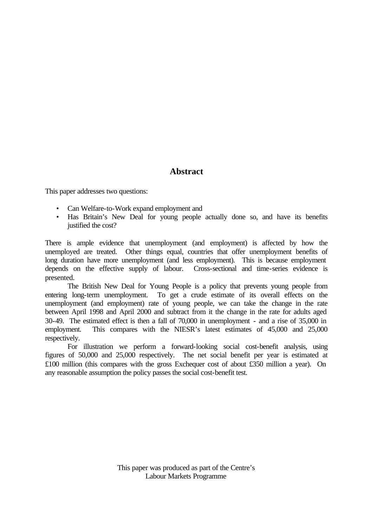#### **Abstract**

This paper addresses two questions:

- Can Welfare-to-Work expand employment and
- Has Britain's New Deal for young people actually done so, and have its benefits justified the cost?

There is ample evidence that unemployment (and employment) is affected by how the unemployed are treated. Other things equal, countries that offer unemployment benefits of long duration have more unemployment (and less employment). This is because employment depends on the effective supply of labour. Cross-sectional and time-series evidence is presented.

The British New Deal for Young People is a policy that prevents young people from entering long-term unemployment. To get a crude estimate of its overall effects on the unemployment (and employment) rate of young people, we can take the change in the rate between April 1998 and April 2000 and subtract from it the change in the rate for adults aged 30-49. The estimated effect is then a fall of 70,000 in unemployment - and a rise of 35,000 in employment. This compares with the NIESR's latest estimates of 45,000 and 25,000 respectively.

For illustration we perform a forward-looking social cost-benefit analysis, using figures of 50,000 and 25,000 respectively. The net social benefit per year is estimated at £100 million (this compares with the gross Exchequer cost of about £350 million a year). On any reasonable assumption the policy passes the social cost-benefit test.

> This paper was produced as part of the Centre's Labour Markets Programme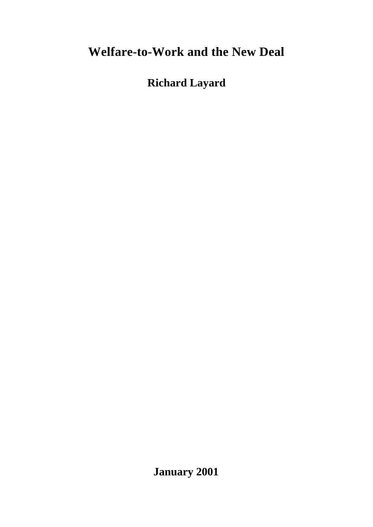## **Welfare-to-Work and the New Deal**

**Richard Layard**

**January 2001**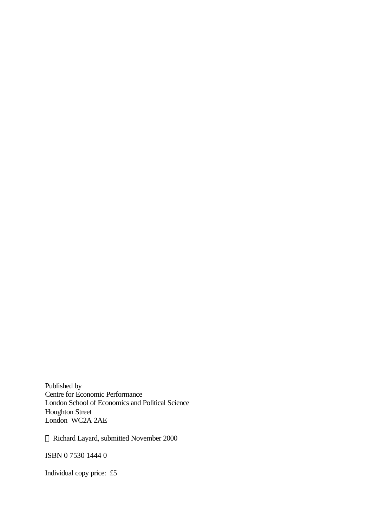Published by Centre for Economic Performance London School of Economics and Political Science Houghton Street London WC2A 2AE

Richard Layard, submitted November 2000

ISBN 0 7530 1444 0

Individual copy price: £5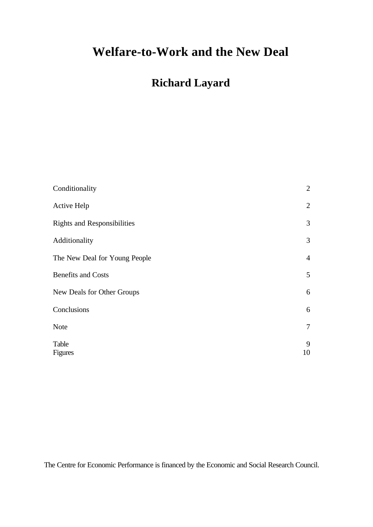### **Welfare-to-Work and the New Deal**

### **Richard Layard**

| Conditionality                     | $\sqrt{2}$     |
|------------------------------------|----------------|
| <b>Active Help</b>                 | $\mathbf{2}$   |
| <b>Rights and Responsibilities</b> | 3              |
| Additionality                      | $\mathfrak{Z}$ |
| The New Deal for Young People      | $\overline{4}$ |
| <b>Benefits and Costs</b>          | 5              |
| New Deals for Other Groups         | 6              |
| Conclusions                        | 6              |
| <b>Note</b>                        | $\tau$         |
| Table<br><b>Figures</b>            | 9<br>10        |

The Centre for Economic Performance is financed by the Economic and Social Research Council.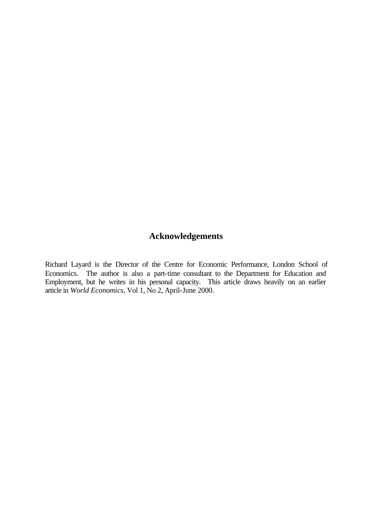#### **Acknowledgements**

Richard Layard is the Director of the Centre for Economic Performance, London School of Economics. The author is also a part-time consultant to the Department for Education and Employment, but he writes in his personal capacity. This article draws heavily on an earlier article in *World Economics*, Vol 1, No 2, April-June 2000.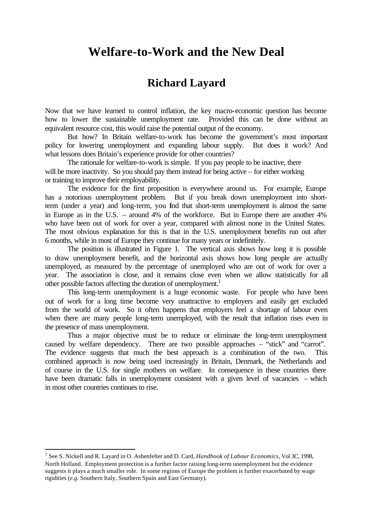### **Welfare-to-Work and the New Deal**

### **Richard Layard**

Now that we have learned to control inflation, the key macro-economic question has become how to lower the sustainable unemployment rate. Provided this can be done without an equivalent resource cost, this would raise the potential output of the economy.

But how? In Britain welfare-to-work has become the government's most important policy for lowering unemployment and expanding labour supply. But does it work? And what lessons does Britain's experience provide for other countries?

The rationale for welfare-to-work is simple. If you pay people to be inactive, there will be more inactivity. So you should pay them instead for being active – for either working or training to improve their employability.

The evidence for the first proposition is everywhere around us. For example, Europe has a notorious unemployment problem. But if you break down unemployment into shortterm (under a year) and long-term, you find that short-term unemployment is almost the same in Europe as in the U.S. – around 4% of the workforce. But in Europe there are another 4% who have been out of work for over a year, compared with almost none in the United States. The most obvious explanation for this is that in the U.S. unemployment benefits run out after 6 months, while in most of Europe they continue for many years or indefinitely.

The position is illustrated in Figure 1. The vertical axis shows how long it is possible to draw unemployment benefit, and the horizontal axis shows how long people are actually unemployed, as measured by the percentage of unemployed who are out of work for over a year. The association is close, and it remains close even when we allow statistically for all other possible factors affecting the duration of unemployment.<sup>1</sup>

This long-term unemployment is a huge economic waste. For people who have been out of work for a long time become very unattractive to employers and easily get excluded from the world of work. So it often happens that employers feel a shortage of labour even when there are many people long-term unemployed, with the result that inflation rises even in the presence of mass unemployment.

Thus a major objective must be to reduce or eliminate the long-term unemployment caused by welfare dependency. There are two possible approaches – "stick" and "carrot". The evidence suggests that much the best approach is a combination of the two. This combined approach is now being used increasingly in Britain, Denmark, the Netherlands and of course in the U.S. for single mothers on welfare. In consequence in these countries there have been dramatic falls in unemployment consistent with a given level of vacancies – which in most other countries continues to rise.

l

<sup>&</sup>lt;sup>1</sup> See S. Nickell and R. Layard in O. Ashenfelter and D. Card, *Handbook of Labour Economics*, Vol 3C, 1998, North Holland. Employment protection is a further factor raising long-term unemployment but the evidence suggests it plays a much smaller role. In some regions of Europe the problem is further exacerbated by wage rigidities (*e.g.* Southern Italy, Southern Spain and East Germany).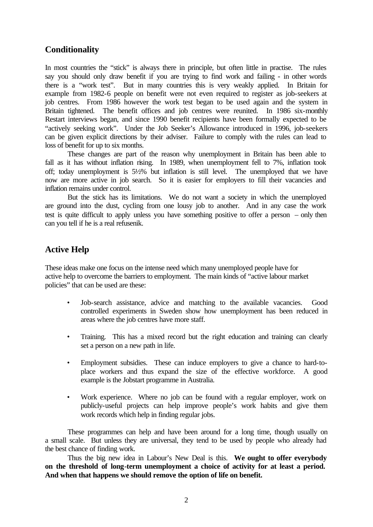#### **Conditionality**

In most countries the "stick" is always there in principle, but often little in practise. The rules say you should only draw benefit if you are trying to find work and failing - in other words there is a "work test". But in many countries this is very weakly applied. In Britain for example from 1982-6 people on benefit were not even required to register as job-seekers at job centres. From 1986 however the work test began to be used again and the system in Britain tightened. The benefit offices and job centres were reunited. In 1986 six-monthly Restart interviews began, and since 1990 benefit recipients have been formally expected to be "actively seeking work". Under the Job Seeker's Allowance introduced in 1996, job-seekers can be given explicit directions by their adviser. Failure to comply with the rules can lead to loss of benefit for up to six months.

These changes are part of the reason why unemployment in Britain has been able to fall as it has without inflation rising. In 1989, when unemployment fell to 7%, inflation took off; today unemployment is 5½% but inflation is still level. The unemployed that we have now are more active in job search. So it is easier for employers to fill their vacancies and inflation remains under control.

But the stick has its limitations. We do not want a society in which the unemployed are ground into the dust, cycling from one lousy job to another. And in any case the work test is quite difficult to apply unless you have something positive to offer a person – only then can you tell if he is a real refusenik.

#### **Active Help**

These ideas make one focus on the intense need which many unemployed people have for active help to overcome the barriers to employment. The main kinds of "active labour market policies" that can be used are these:

- Job-search assistance, advice and matching to the available vacancies. Good controlled experiments in Sweden show how unemployment has been reduced in areas where the job centres have more staff.
- Training. This has a mixed record but the right education and training can clearly set a person on a new path in life.
- Employment subsidies. These can induce employers to give a chance to hard-toplace workers and thus expand the size of the effective workforce. A good example is the Jobstart programme in Australia.
- Work experience. Where no job can be found with a regular employer, work on publicly-useful projects can help improve people's work habits and give them work records which help in finding regular jobs.

These programmes can help and have been around for a long time, though usually on a small scale. But unless they are universal, they tend to be used by people who already had the best chance of finding work.

Thus the big new idea in Labour's New Deal is this. **We ought to offer everybody on the threshold of long-term unemployment a choice of activity for at least a period. And when that happens we should remove the option of life on benefit.**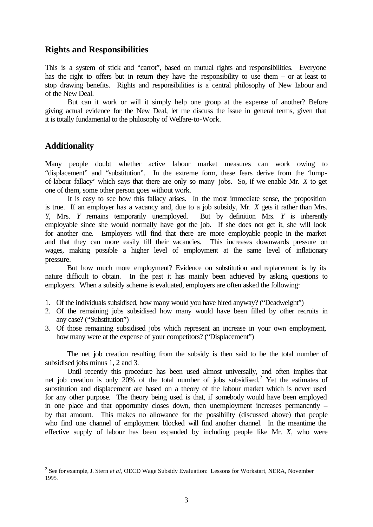#### **Rights and Responsibilities**

This is a system of stick and "carrot", based on mutual rights and responsibilities. Everyone has the right to offers but in return they have the responsibility to use them – or at least to stop drawing benefits. Rights and responsibilities is a central philosophy of New Labour and of the New Deal.

But can it work or will it simply help one group at the expense of another? Before giving actual evidence for the New Deal, let me discuss the issue in general terms, given that it is totally fundamental to the philosophy of Welfare-to-Work.

#### **Additionality**

l

Many people doubt whether active labour market measures can work owing to "displacement" and "substitution". In the extreme form, these fears derive from the 'lumpof-labour fallacy' which says that there are only so many jobs. So, if we enable Mr. *X* to get one of them, some other person goes without work.

It is easy to see how this fallacy arises. In the most immediate sense, the proposition is true. If an employer has a vacancy and, due to a job subsidy, Mr. *X* gets it rather than Mrs. *Y*, Mrs. *Y* remains temporarily unemployed. But by definition Mrs. *Y* is inherently employable since she would normally have got the job. If she does not get it, she will look for another one. Employers will find that there are more employable people in the market and that they can more easily fill their vacancies. This increases downwards pressure on wages, making possible a higher level of employment at the same level of inflationary pressure.

But how much more employment? Evidence on substitution and replacement is by its nature difficult to obtain. In the past it has mainly been achieved by asking questions to employers. When a subsidy scheme is evaluated, employers are often asked the following:

- 1. Of the individuals subsidised, how many would you have hired anyway? ("Deadweight")
- 2. Of the remaining jobs subsidised how many would have been filled by other recruits in any case? ("Substitution")
- 3. Of those remaining subsidised jobs which represent an increase in your own employment, how many were at the expense of your competitors? ("Displacement")

The net job creation resulting from the subsidy is then said to be the total number of subsidised jobs minus 1, 2 and 3.

Until recently this procedure has been used almost universally, and often implies that net job creation is only 20% of the total number of jobs subsidised.<sup>2</sup> Yet the estimates of substitution and displacement are based on a theory of the labour market which is never used for any other purpose. The theory being used is that, if somebody would have been employed in one place and that opportunity closes down, then unemployment increases permanently – by that amount. This makes no allowance for the possibility (discussed above) that people who find one channel of employment blocked will find another channel. In the meantime the effective supply of labour has been expanded by including people like Mr. *X*, who were

<sup>2</sup> See for example, J. Stern *et al*, OECD Wage Subsidy Evaluation: Lessons for Workstart, NERA, November 1995.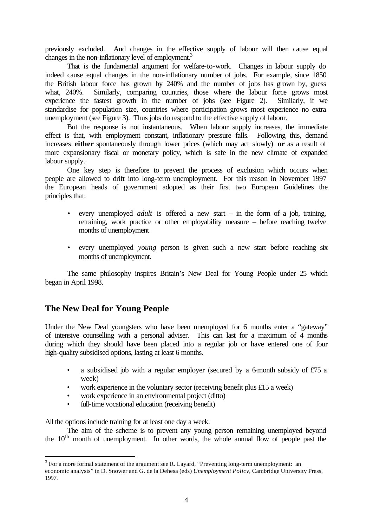previously excluded. And changes in the effective supply of labour will then cause equal changes in the non-inflationary level of employment.<sup>3</sup>

That is the fundamental argument for welfare-to-work. Changes in labour supply do indeed cause equal changes in the non-inflationary number of jobs. For example, since 1850 the British labour force has grown by 240% and the number of jobs has grown by, guess what, 240%. Similarly, comparing countries, those where the labour force grows most experience the fastest growth in the number of jobs (see Figure 2). Similarly, if we standardise for population size, countries where participation grows most experience no extra unemployment (see Figure 3). Thus jobs do respond to the effective supply of labour.

But the response is not instantaneous. When labour supply increases, the immediate effect is that, with employment constant, inflationary pressure falls. Following this, demand increases **either** spontaneously through lower prices (which may act slowly) **or** as a result of more expansionary fiscal or monetary policy, which is safe in the new climate of expanded labour supply.

One key step is therefore to prevent the process of exclusion which occurs when people are allowed to drift into long-term unemployment. For this reason in November 1997 the European heads of government adopted as their first two European Guidelines the principles that:

- every unemployed *adult* is offered a new start in the form of a job, training, retraining, work practice or other employability measure – before reaching twelve months of unemployment
- every unemployed *young* person is given such a new start before reaching six months of unemployment.

The same philosophy inspires Britain's New Deal for Young People under 25 which began in April 1998.

#### **The New Deal for Young People**

Under the New Deal youngsters who have been unemployed for 6 months enter a "gateway" of intensive counselling with a personal adviser. This can last for a maximum of 4 months during which they should have been placed into a regular job or have entered one of four high-quality subsidised options, lasting at least 6 months.

- a subsidised job with a regular employer (secured by a 6-month subsidy of  $£75$  a week)
- work experience in the voluntary sector (receiving benefit plus £15 a week)
- work experience in an environmental project (ditto)
- full-time vocational education (receiving benefit)

All the options include training for at least one day a week.

l

The aim of the scheme is to prevent any young person remaining unemployed beyond the  $10<sup>th</sup>$  month of unemployment. In other words, the whole annual flow of people past the

 $3$  For a more formal statement of the argument see R. Layard, "Preventing long-term unemployment: an

economic analysis" in D. Snower and G. de la Dehesa (eds) *Unemployment Policy*, Cambridge University Press, 1997.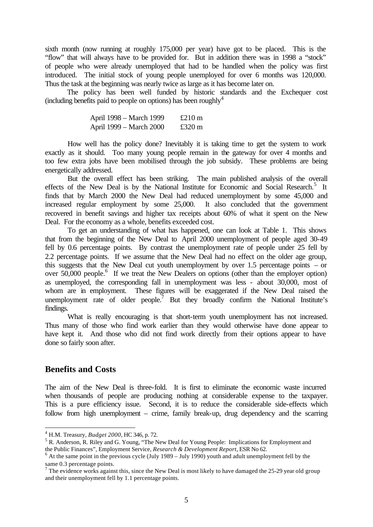sixth month (now running at roughly 175,000 per year) have got to be placed. This is the "flow" that will always have to be provided for. But in addition there was in 1998 a "stock" of people who were already unemployed that had to be handled when the policy was first introduced. The initial stock of young people unemployed for over 6 months was 120,000. Thus the task at the beginning was nearly twice as large as it has become later on.

The policy has been well funded by historic standards and the Exchequer cost (including benefits paid to people on options) has been roughly  $4$ 

| April 1998 – March 1999 | £210 $m$ |
|-------------------------|----------|
| April 1999 – March 2000 | £320 $m$ |

How well has the policy done? Inevitably it is taking time to get the system to work exactly as it should. Too many young people remain in the gateway for over 4 months and too few extra jobs have been mobilised through the job subsidy. These problems are being energetically addressed.

But the overall effect has been striking. The main published analysis of the overall effects of the New Deal is by the National Institute for Economic and Social Research.<sup>5</sup> It finds that by March 2000 the New Deal had reduced unemployment by some 45,000 and increased regular employment by some 25,000. It also concluded that the government recovered in benefit savings and higher tax receipts about 60% of what it spent on the New Deal. For the economy as a whole, benefits exceeded cost.

To get an understanding of what has happened, one can look at Table 1. This shows that from the beginning of the New Deal to April 2000 unemployment of people aged 30-49 fell by 0.6 percentage points. By contrast the unemployment rate of people under 25 fell by 2.2 percentage points. If we assume that the New Deal had no effect on the older age group, this suggests that the New Deal cut youth unemployment by over 1.5 percentage points – or over  $50,000$  people.<sup>6</sup> If we treat the New Dealers on options (other than the employer option) as unemployed, the corresponding fall in unemployment was less - about 30,000, most of whom are in employment. These figures will be exaggerated if the New Deal raised the unemployment rate of older people.<sup>7</sup> But they broadly confirm the National Institute's findings.

What is really encouraging is that short-term youth unemployment has not increased. Thus many of those who find work earlier than they would otherwise have done appear to have kept it. And those who did not find work directly from their options appear to have done so fairly soon after.

#### **Benefits and Costs**

l

The aim of the New Deal is three-fold. It is first to eliminate the economic waste incurred when thousands of people are producing nothing at considerable expense to the taxpayer. This is a pure efficiency issue. Second, it is to reduce the considerable side-effects which follow from high unemployment – crime, family break-up, drug dependency and the scarring

<sup>4</sup> H.M. Treasury, *Budget 2000*, HC 346, p. 72.

<sup>&</sup>lt;sup>5</sup> R. Anderson, R. Riley and G. Young, "The New Deal for Young People: Implications for Employment and the Public Finances", Employment Service, *Research & Development Report*, ESR No 62.

 $6$  At the same point in the previous cycle (July 1989 – July 1990) youth and adult unemployment fell by the

same 0.3 percentage points.<br><sup>7</sup> The evidence works against this, since the New Deal is most likely to have damaged the 25-29 year old group and their unemployment fell by 1.1 percentage points.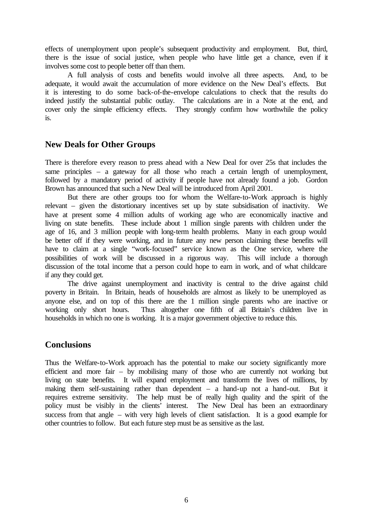effects of unemployment upon people's subsequent productivity and employment. But, third, there is the issue of social justice, when people who have little get a chance, even if it involves some cost to people better off than them.

A full analysis of costs and benefits would involve all three aspects. And, to be adequate, it would await the accumulation of more evidence on the New Deal's effects. But it is interesting to do some back-of-the-envelope calculations to check that the results do indeed justify the substantial public outlay. The calculations are in a Note at the end, and cover only the simple efficiency effects. They strongly confirm how worthwhile the policy is.

#### **New Deals for Other Groups**

There is therefore every reason to press ahead with a New Deal for over 25s that includes the same principles – a gateway for all those who reach a certain length of unemployment, followed by a mandatory period of activity if people have not already found a job. Gordon Brown has announced that such a New Deal will be introduced from April 2001.

But there are other groups too for whom the Welfare-to-Work approach is highly relevant – given the distortionary incentives set up by state subsidisation of inactivity. We have at present some 4 million adults of working age who are economically inactive and living on state benefits. These include about 1 million single parents with children under the age of 16, and 3 million people with long-term health problems. Many in each group would be better off if they were working, and in future any new person claiming these benefits will have to claim at a single "work-focused" service known as the One service, where the possibilities of work will be discussed in a rigorous way. This will include a thorough discussion of the total income that a person could hope to earn in work, and of what childcare if any they could get.

The drive against unemployment and inactivity is central to the drive against child poverty in Britain. In Britain, heads of households are almost as likely to be unemployed as anyone else, and on top of this there are the 1 million single parents who are inactive or working only short hours. Thus altogether one fifth of all Britain's children live in households in which no one is working. It is a major government objective to reduce this.

#### **Conclusions**

Thus the Welfare-to-Work approach has the potential to make our society significantly more efficient and more fair – by mobilising many of those who are currently not working but living on state benefits. It will expand employment and transform the lives of millions, by making them self-sustaining rather than dependent – a hand-up not a hand-out. But it requires extreme sensitivity. The help must be of really high quality and the spirit of the policy must be visibly in the clients' interest. The New Deal has been an extraordinary success from that angle – with very high levels of client satisfaction. It is a good example for other countries to follow. But each future step must be as sensitive as the last.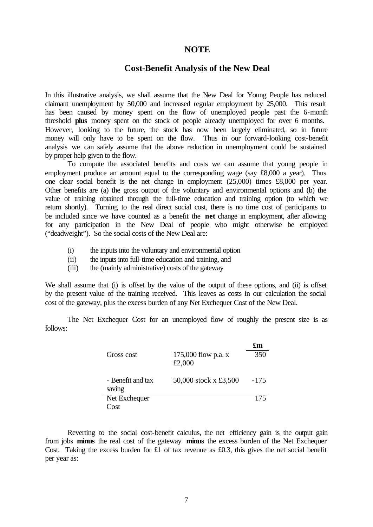#### **NOTE**

#### **Cost-Benefit Analysis of the New Deal**

In this illustrative analysis, we shall assume that the New Deal for Young People has reduced claimant unemployment by 50,000 and increased regular employment by 25,000. This result has been caused by money spent on the flow of unemployed people past the 6-month threshold **plus** money spent on the stock of people already unemployed for over 6 months. However, looking to the future, the stock has now been largely eliminated, so in future money will only have to be spent on the flow. Thus in our forward-looking cost-benefit analysis we can safely assume that the above reduction in unemployment could be sustained by proper help given to the flow.

To compute the associated benefits and costs we can assume that young people in employment produce an amount equal to the corresponding wage (say £8,000 a year). Thus one clear social benefit is the net change in employment (25,000) times £8,000 per year. Other benefits are (a) the gross output of the voluntary and environmental options and (b) the value of training obtained through the full-time education and training option (to which we return shortly). Turning to the real direct social cost, there is no time cost of participants to be included since we have counted as a benefit the **net** change in employment, after allowing for any participation in the New Deal of people who might otherwise be employed ("deadweight"). So the social costs of the New Deal are:

- (i) the inputs into the voluntary and environmental option
- (ii) the inputs into full-time education and training, and
- (iii) the (mainly administrative) costs of the gateway

We shall assume that (i) is offset by the value of the output of these options, and (ii) is offset by the present value of the training received. This leaves as costs in our calculation the social cost of the gateway, plus the excess burden of any Net Exchequer Cost of the New Deal.

The Net Exchequer Cost for an unemployed flow of roughly the present size is as follows:

|                   |                       | £m     |
|-------------------|-----------------------|--------|
| Gross cost        | 175,000 flow p.a. x   | 350    |
|                   | £2,000                |        |
| - Benefit and tax | 50,000 stock x £3,500 | $-175$ |
| saving            |                       |        |
|                   |                       |        |
| Net Exchequer     |                       | 175    |
| Cost              |                       |        |

Reverting to the social cost-benefit calculus, the net efficiency gain is the output gain from jobs **minus** the real cost of the gateway **minus** the excess burden of the Net Exchequer Cost. Taking the excess burden for £1 of tax revenue as £0.3, this gives the net social benefit per year as: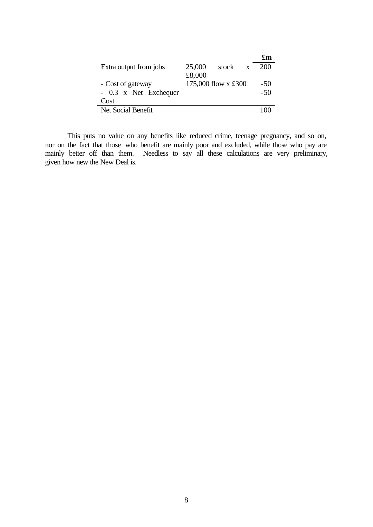|                        |        |                     |              | £m    |
|------------------------|--------|---------------------|--------------|-------|
| Extra output from jobs | 25,000 | stock               | $\mathbf{x}$ | 200   |
|                        | £8,000 |                     |              |       |
| - Cost of gateway      |        | 175,000 flow x £300 |              | $-50$ |
| - 0.3 x Net Exchequer  |        |                     |              | $-50$ |
| Cost                   |        |                     |              |       |
| Net Social Benefit     |        |                     |              |       |

This puts no value on any benefits like reduced crime, teenage pregnancy, and so on, nor on the fact that those who benefit are mainly poor and excluded, while those who pay are mainly better off than them. Needless to say all these calculations are very preliminary, given how new the New Deal is.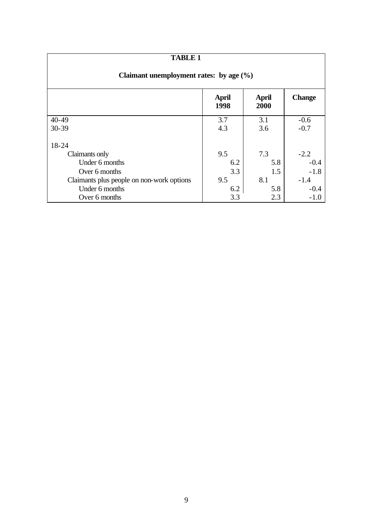| <b>TABLE 1</b>                              |                      |                      |               |  |
|---------------------------------------------|----------------------|----------------------|---------------|--|
| Claimant unemployment rates: by age $(\% )$ |                      |                      |               |  |
|                                             | <b>April</b><br>1998 | <b>April</b><br>2000 | <b>Change</b> |  |
| $40 - 49$                                   | 3.7                  | 3.1                  | $-0.6$        |  |
| $30 - 39$                                   | 4.3                  | 3.6                  | $-0.7$        |  |
| 18-24                                       |                      |                      |               |  |
| Claimants only                              | 9.5                  | 7.3                  | $-2.2$        |  |
| Under 6 months                              | 6.2                  | 5.8                  | $-0.4$        |  |
| Over 6 months                               | 3.3                  | 1.5                  | $-1.8$        |  |
| Claimants plus people on non-work options   | 9.5                  | 8.1                  | $-1.4$        |  |
| Under 6 months                              | 6.2                  | 5.8                  | $-0.4$        |  |
| Over 6 months                               | 3.3                  | 2.3                  | $-1.0$        |  |

9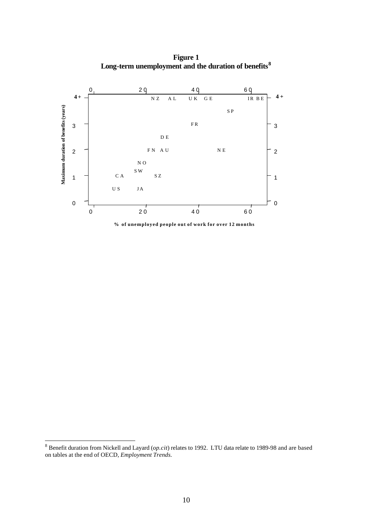**Figure 1 Long-term unemployment and the duration of benefits<sup>8</sup>**



**% of unemployed people out of work for over 12 months**

 8 Benefit duration from Nickell and Layard (*op.cit*) relates to 1992. LTU data relate to 1989-98 and are based on tables at the end of OECD, *Employment Trends.*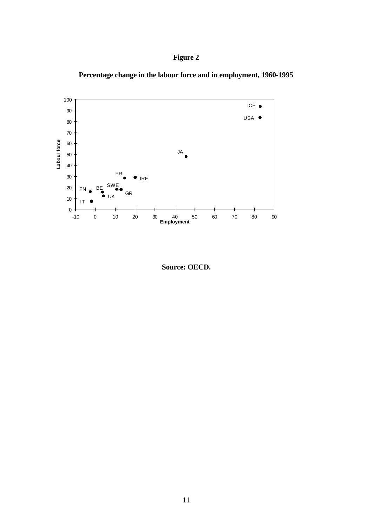





**Source: OECD.**